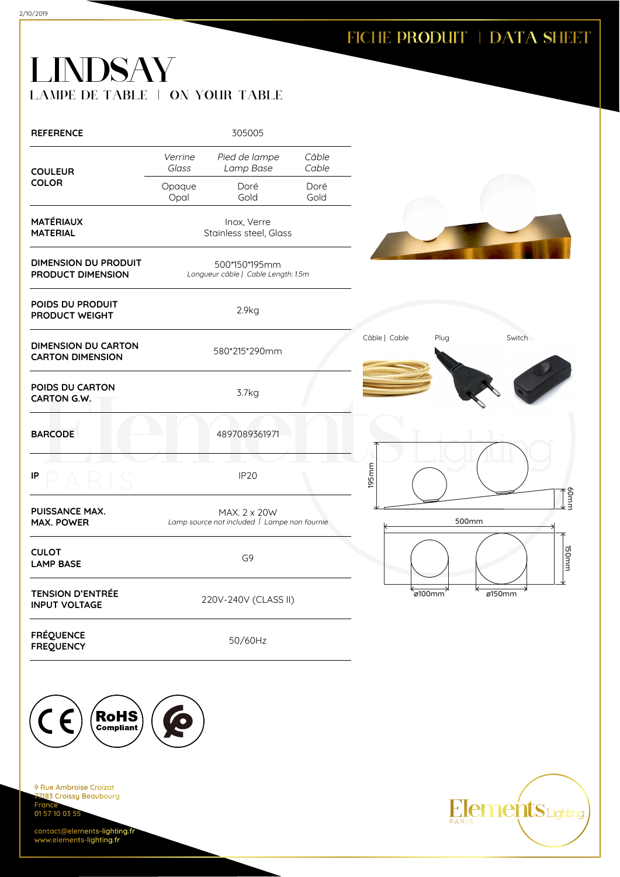## FICHE PRODUIT | DATA SHEET

## LINDSAY LAMPE DE TABLE | ON YOUR TABLE

| <b>REFERENCE</b>                                      |                                       | 305005                                                       |                |               |         |               |
|-------------------------------------------------------|---------------------------------------|--------------------------------------------------------------|----------------|---------------|---------|---------------|
| <b>COULEUR</b>                                        | Verrine<br>Glass                      | Pied de lampe<br>Lamp Base                                   | Câble<br>Cable |               |         |               |
| <b>COLOR</b>                                          | Opaque<br>Opal                        | Doré<br>Gold                                                 | Doré<br>Gold   |               |         |               |
| <b>MATÉRIAUX</b><br><b>MATERIAL</b>                   | Inox, Verre<br>Stainless steel, Glass |                                                              |                |               |         |               |
| <b>DIMENSION DU PRODUIT</b><br>PRODUCT DIMENSION      |                                       | 500*150*195mm<br>Longueur câble   Cable Length: 1.5m         |                |               |         |               |
| POIDS DU PRODUIT<br>PRODUCT WEIGHT                    |                                       | 2.9kg                                                        |                |               |         |               |
| <b>DIMENSION DU CARTON</b><br><b>CARTON DIMENSION</b> |                                       | 580*215*290mm                                                |                | Câble   Cable | Plug    | Switch        |
| POIDS DU CARTON<br>CARTON G.W.                        |                                       | 3.7kg                                                        |                |               |         |               |
| <b>BARCODE</b>                                        |                                       | 4897089361971                                                |                |               |         |               |
| IP                                                    |                                       | <b>IP20</b>                                                  |                | 195mm         |         | $\frac{1}{2}$ |
| PUISSANCE MAX.<br><b>MAX. POWER</b>                   |                                       | MAX. 2 x 20W<br>Lamp source not included   Lampe non fournie |                |               | 500mm   |               |
| <b>CULOT</b><br><b>LAMP BASE</b>                      |                                       | G <sub>9</sub>                                               |                |               |         | mmost         |
| <b>TENSION D'ENTRÉE</b><br><b>INPUT VOLTAGE</b>       |                                       | 220V-240V (CLASS II)                                         |                |               | ์ø100mm | ø150mm        |
| <b>FRÉQUENCE</b><br><b>FREQUENCY</b>                  |                                       | 50/60Hz                                                      |                |               |         |               |



9 Rue Ambroise Croizat nes Almerence<br><mark>183 Croissy Beaubourg</mark> Fran 01 57 10 03 55

contact@elements-lighting.fr www.elements-lighting.fr